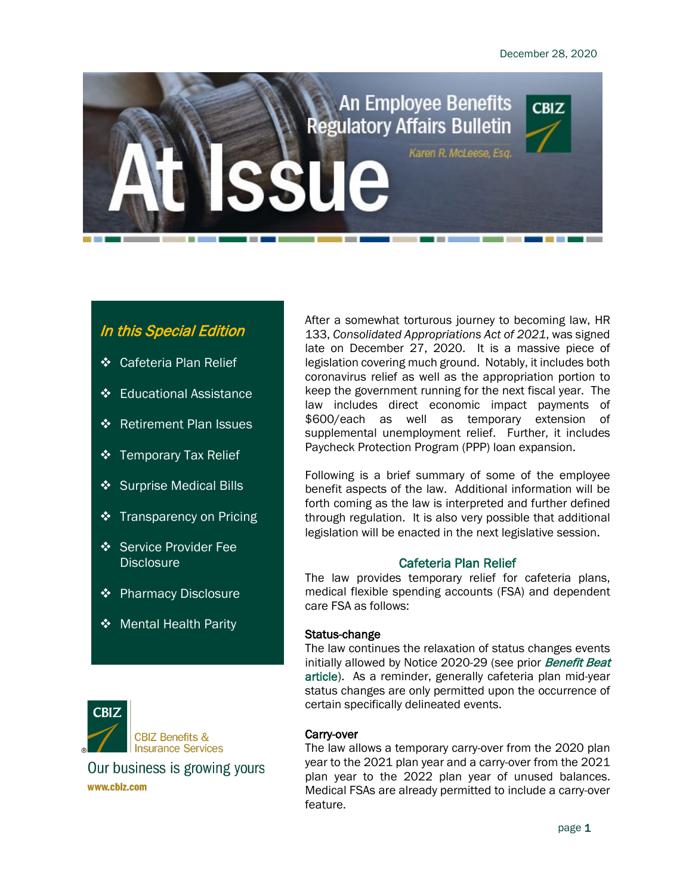

# In this Special Edition

- **❖** Cafeteria Plan Relief
- ❖ Educational Assistance
- ❖ Retirement Plan Issues
- $\div$  Temporary Tax Relief
- **❖** Surprise Medical Bills
- **❖** Transparency on Pricing
- Service Provider Fee **Disclosure**
- **❖** Pharmacy Disclosure
- **❖** Mental Health Parity



**CBIZ Benefits & Insurance Services** 

Our business is growing yours www.cbiz.com

After a somewhat torturous journey to becoming law, HR 133, *Consolidated Appropriations Act of 2021*, was signed late on December 27, 2020. It is a massive piece of legislation covering much ground. Notably, it includes both coronavirus relief as well as the appropriation portion to keep the government running for the next fiscal year. The law includes direct economic impact payments of \$600/each as well as temporary extension of supplemental unemployment relief. Further, it includes Paycheck Protection Program (PPP) loan expansion.

Following is a brief summary of some of the employee benefit aspects of the law. Additional information will be forth coming as the law is interpreted and further defined through regulation. It is also very possible that additional legislation will be enacted in the next legislative session.

# Cafeteria Plan Relief

The law provides temporary relief for cafeteria plans, medical flexible spending accounts (FSA) and dependent care FSA as follows:

# Status-change

The law continues the relaxation of status changes events initially allowed by Notice 2020-29 (see prior **[Benefit Beat](https://www.cbiz.com/insights/articles/article-details/covid-turmoil-for-account-based-plans)**) [article\)](https://www.cbiz.com/insights/articles/article-details/covid-turmoil-for-account-based-plans). As a reminder, generally cafeteria plan mid-year status changes are only permitted upon the occurrence of certain specifically delineated events.

# Carry-over

The law allows a temporary carry-over from the 2020 plan year to the 2021 plan year and a carry-over from the 2021 plan year to the 2022 plan year of unused balances. Medical FSAs are already permitted to include a carry-over feature.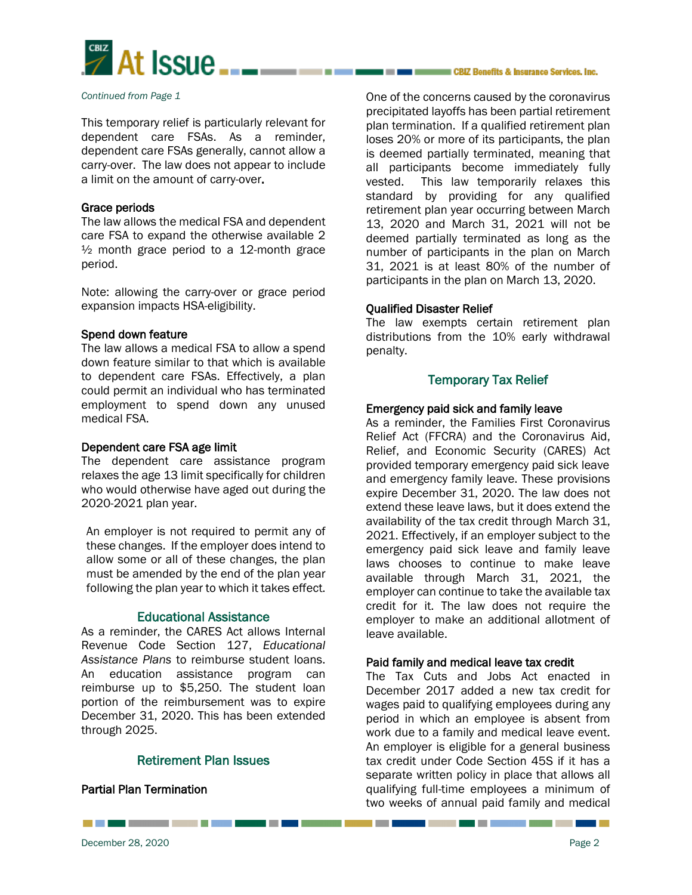

#### *Continued from Page 1*

This temporary relief is particularly relevant for dependent care FSAs. As a reminder, dependent care FSAs generally, cannot allow a carry-over. The law does not appear to include a limit on the amount of carry-over.

## Grace periods

The law allows the medical FSA and dependent care FSA to expand the otherwise available 2  $\frac{1}{2}$  month grace period to a 12-month grace period.

Note: allowing the carry-over or grace period expansion impacts HSA-eligibility.

## Spend down feature

The law allows a medical FSA to allow a spend down feature similar to that which is available to dependent care FSAs. Effectively, a plan could permit an individual who has terminated employment to spend down any unused medical FSA.

#### Dependent care FSA age limit

The dependent care assistance program relaxes the age 13 limit specifically for children who would otherwise have aged out during the 2020-2021 plan year.

An employer is not required to permit any of these changes. If the employer does intend to allow some or all of these changes, the plan must be amended by the end of the plan year following the plan year to which it takes effect.

# Educational Assistance

As a reminder, the CARES Act allows Internal Revenue Code Section 127, *Educational Assistance Plans* to reimburse student loans. An education assistance program can reimburse up to \$5,250. The student loan portion of the reimbursement was to expire December 31, 2020. This has been extended through 2025.

# Retirement Plan Issues

# Partial Plan Termination

One of the concerns caused by the coronavirus precipitated layoffs has been partial retirement plan termination. If a qualified retirement plan loses 20% or more of its participants, the plan is deemed partially terminated, meaning that all participants become immediately fully vested. This law temporarily relaxes this standard by providing for any qualified retirement plan year occurring between March 13, 2020 and March 31, 2021 will not be deemed partially terminated as long as the number of participants in the plan on March 31, 2021 is at least 80% of the number of participants in the plan on March 13, 2020.

## Qualified Disaster Relief

The law exempts certain retirement plan distributions from the 10% early withdrawal penalty.

# Temporary Tax Relief

## Emergency paid sick and family leave

As a reminder, the Families First Coronavirus Relief Act (FFCRA) and the Coronavirus Aid, Relief, and Economic Security (CARES) Act provided temporary emergency paid sick leave and emergency family leave. These provisions expire December 31, 2020. The law does not extend these leave laws, but it does extend the availability of the tax credit through March 31, 2021. Effectively, if an employer subject to the emergency paid sick leave and family leave laws chooses to continue to make leave available through March 31, 2021, the employer can continue to take the available tax credit for it. The law does not require the employer to make an additional allotment of leave available.

## Paid family and medical leave tax credit

The Tax Cuts and Jobs Act enacted in December 2017 added a new tax credit for wages paid to qualifying employees during any period in which an employee is absent from work due to a family and medical leave event. An employer is eligible for a general business tax credit under Code Section 45S if it has a separate written policy in place that allows all qualifying full-time employees a minimum of two weeks of annual paid family and medical

\_\_\_\_\_\_\_\_\_\_\_\_\_\_\_\_\_\_\_\_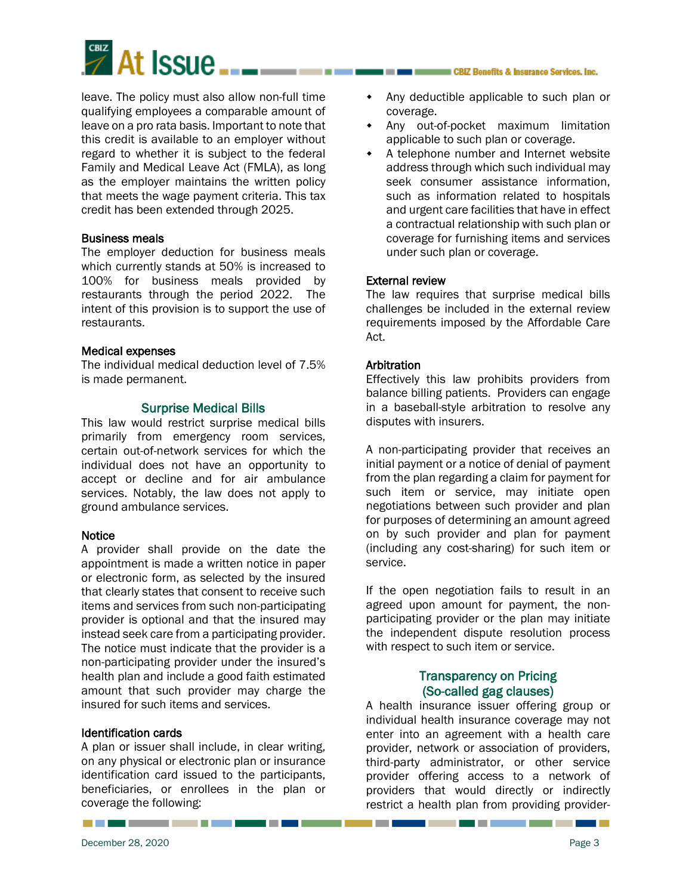

leave. The policy must also allow non-full time qualifying employees a comparable amount of leave on a pro rata basis. Important to note that this credit is available to an employer without regard to whether it is subject to the federal Family and Medical Leave Act (FMLA), as long as the employer maintains the written policy that meets the wage payment criteria. This tax credit has been extended through 2025.

## Business meals

The employer deduction for business meals which currently stands at 50% is increased to 100% for business meals provided by restaurants through the period 2022. The intent of this provision is to support the use of restaurants.

#### Medical expenses

The individual medical deduction level of 7.5% is made permanent.

## Surprise Medical Bills

This law would restrict surprise medical bills primarily from emergency room services, certain out-of-network services for which the individual does not have an opportunity to accept or decline and for air ambulance services. Notably, the law does not apply to ground ambulance services.

## **Notice**

A provider shall provide on the date the appointment is made a written notice in paper or electronic form, as selected by the insured that clearly states that consent to receive such items and services from such non-participating provider is optional and that the insured may instead seek care from a participating provider. The notice must indicate that the provider is a non-participating provider under the insured's health plan and include a good faith estimated amount that such provider may charge the insured for such items and services.

## Identification cards

A plan or issuer shall include, in clear writing, on any physical or electronic plan or insurance identification card issued to the participants, beneficiaries, or enrollees in the plan or coverage the following:

- Any deductible applicable to such plan or coverage.
- Any out-of-pocket maximum limitation applicable to such plan or coverage.
- A telephone number and Internet website address through which such individual may seek consumer assistance information, such as information related to hospitals and urgent care facilities that have in effect a contractual relationship with such plan or coverage for furnishing items and services under such plan or coverage.

## External review

The law requires that surprise medical bills challenges be included in the external review requirements imposed by the Affordable Care Act.

## **Arbitration**

Effectively this law prohibits providers from balance billing patients. Providers can engage in a baseball-style arbitration to resolve any disputes with insurers.

A non-participating provider that receives an initial payment or a notice of denial of payment from the plan regarding a claim for payment for such item or service, may initiate open negotiations between such provider and plan for purposes of determining an amount agreed on by such provider and plan for payment (including any cost-sharing) for such item or service.

If the open negotiation fails to result in an agreed upon amount for payment, the nonparticipating provider or the plan may initiate the independent dispute resolution process with respect to such item or service.

# Transparency on Pricing (So-called gag clauses)

A health insurance issuer offering group or individual health insurance coverage may not enter into an agreement with a health care provider, network or association of providers, third-party administrator, or other service provider offering access to a network of providers that would directly or indirectly restrict a health plan from providing provider-

 $\mathcal{L}(\mathcal{A})$ 

-------

a sa Tan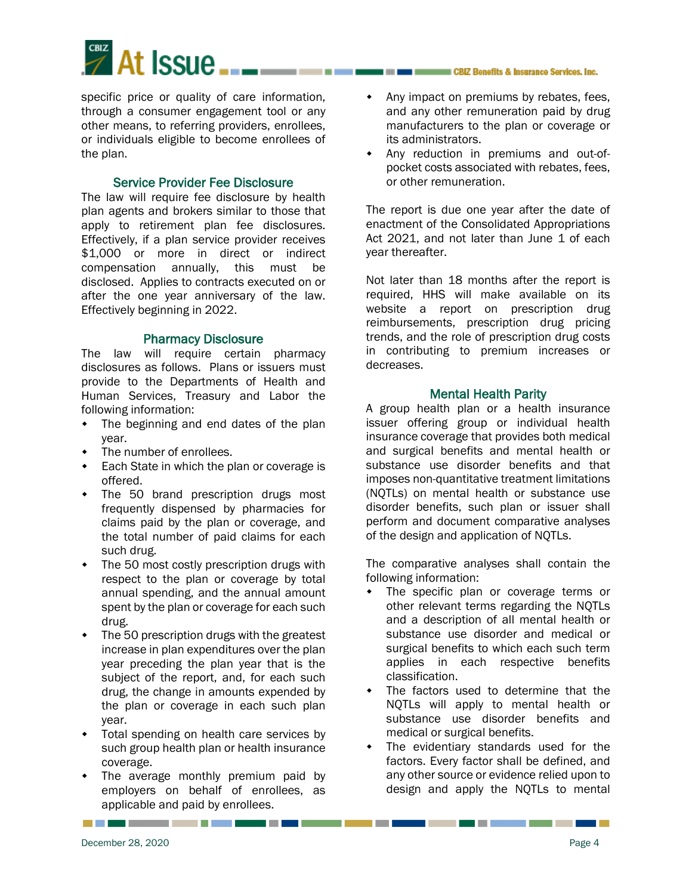

specific price or quality of care information, through a consumer engagement tool or any other means, to referring providers, enrollees, or individuals eligible to become enrollees of the plan.

## Service Provider Fee Disclosure

The law will require fee disclosure by health plan agents and brokers similar to those that apply to retirement plan fee disclosures. Effectively, if a plan service provider receives \$1,000 or more in direct or indirect compensation annually, this must be disclosed. Applies to contracts executed on or after the one year anniversary of the law. Effectively beginning in 2022.

## Pharmacy Disclosure

The law will require certain pharmacy disclosures as follows. Plans or issuers must provide to the Departments of Health and Human Services, Treasury and Labor the following information:

- The beginning and end dates of the plan year.
- The number of enrollees.
- **Each State in which the plan or coverage is** offered.
- The 50 brand prescription drugs most frequently dispensed by pharmacies for claims paid by the plan or coverage, and the total number of paid claims for each such drug.
- The 50 most costly prescription drugs with respect to the plan or coverage by total annual spending, and the annual amount spent by the plan or coverage for each such drug.
- The 50 prescription drugs with the greatest increase in plan expenditures over the plan year preceding the plan year that is the subject of the report, and, for each such drug, the change in amounts expended by the plan or coverage in each such plan year.
- Total spending on health care services by such group health plan or health insurance coverage.
- The average monthly premium paid by employers on behalf of enrollees, as applicable and paid by enrollees.

--------

- Any impact on premiums by rebates, fees, and any other remuneration paid by drug manufacturers to the plan or coverage or its administrators.
- Any reduction in premiums and out-ofpocket costs associated with rebates, fees, or other remuneration.

The report is due one year after the date of enactment of the Consolidated Appropriations Act 2021, and not later than June 1 of each year thereafter.

Not later than 18 months after the report is required, HHS will make available on its website a report on prescription drug reimbursements, prescription drug pricing trends, and the role of prescription drug costs in contributing to premium increases or decreases.

## Mental Health Parity

A group health plan or a health insurance issuer offering group or individual health insurance coverage that provides both medical and surgical benefits and mental health or substance use disorder benefits and that imposes non-quantitative treatment limitations (NQTLs) on mental health or substance use disorder benefits, such plan or issuer shall perform and document comparative analyses of the design and application of NQTLs.

The comparative analyses shall contain the following information:

- The specific plan or coverage terms or other relevant terms regarding the NQTLs and a description of all mental health or substance use disorder and medical or surgical benefits to which each such term applies in each respective benefits classification.
- The factors used to determine that the NQTLs will apply to mental health or substance use disorder benefits and medical or surgical benefits.
- The evidentiary standards used for the factors. Every factor shall be defined, and any other source or evidence relied upon to design and apply the NQTLs to mental